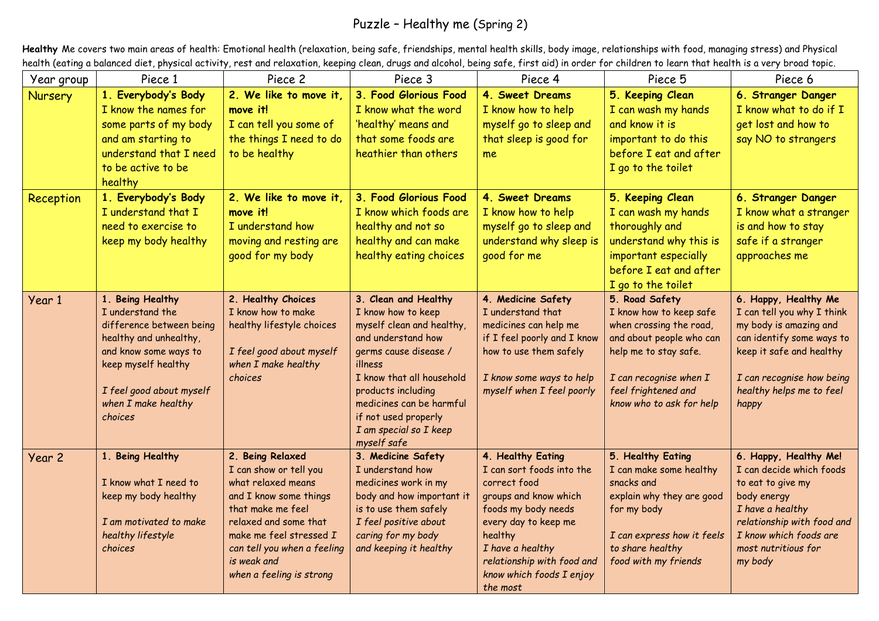## Puzzle – Healthy me (Spring 2)

**Healthy** Me covers two main areas of health: Emotional health (relaxation, being safe, friendships, mental health skills, body image, relationships with food, managing stress) and Physical health (eating a balanced diet, physical activity, rest and relaxation, keeping clean, drugs and alcohol, being safe, first aid) in order for children to learn that health is a very broad topic.

| Year group | Piece 1                                                                                                                                                                                                                        | Piece 2                                                                                                                                                                                                                                       | Piece 3                                                                                                                                                                                                                                                                           | Piece 4                                                                                                                                                                                                                                     | Piece 5                                                                                                                                                                                                | Piece 6                                                                                                                                                                                                 |
|------------|--------------------------------------------------------------------------------------------------------------------------------------------------------------------------------------------------------------------------------|-----------------------------------------------------------------------------------------------------------------------------------------------------------------------------------------------------------------------------------------------|-----------------------------------------------------------------------------------------------------------------------------------------------------------------------------------------------------------------------------------------------------------------------------------|---------------------------------------------------------------------------------------------------------------------------------------------------------------------------------------------------------------------------------------------|--------------------------------------------------------------------------------------------------------------------------------------------------------------------------------------------------------|---------------------------------------------------------------------------------------------------------------------------------------------------------------------------------------------------------|
| Nursery    | 1. Everybody's Body<br>I know the names for<br>some parts of my body<br>and am starting to<br>understand that I need<br>to be active to be<br>healthy                                                                          | 2. We like to move it,<br>move it!<br>I can tell you some of<br>the things I need to do<br>to be healthy                                                                                                                                      | 3. Food Glorious Food<br>I know what the word<br>'healthy' means and<br>that some foods are<br>heathier than others                                                                                                                                                               | 4. Sweet Dreams<br>I know how to help<br>myself go to sleep and<br>that sleep is good for<br>me                                                                                                                                             | 5. Keeping Clean<br>I can wash my hands<br>and know it is<br>important to do this<br>before I eat and after<br>I go to the toilet                                                                      | 6. Stranger Danger<br>I know what to do if I<br>get lost and how to<br>say NO to strangers                                                                                                              |
| Reception  | 1. Everybody's Body<br>I understand that I<br>need to exercise to<br>keep my body healthy                                                                                                                                      | 2. We like to move it.<br>move it!<br>I understand how<br>moving and resting are<br>good for my body                                                                                                                                          | 3. Food Glorious Food<br>I know which foods are<br>healthy and not so<br>healthy and can make<br>healthy eating choices                                                                                                                                                           | 4. Sweet Dreams<br>I know how to help<br>myself go to sleep and<br>understand why sleep is<br>good for me                                                                                                                                   | 5. Keeping Clean<br>I can wash my hands<br>thoroughly and<br>understand why this is<br>important especially<br>before I eat and after<br>I go to the toilet                                            | 6. Stranger Danger<br>I know what a stranger<br>is and how to stay<br>safe if a stranger<br>approaches me                                                                                               |
| Year 1     | <b>Being Healthy</b><br>1 <sub>1</sub><br>I understand the<br>difference between being<br>healthy and unhealthy,<br>and know some ways to<br>keep myself healthy<br>I feel good about myself<br>when I make healthy<br>choices | 2. Healthy Choices<br>I know how to make<br>healthy lifestyle choices<br>I feel good about myself<br>when I make healthy<br>choices                                                                                                           | 3. Clean and Healthy<br>I know how to keep<br>myself clean and healthy,<br>and understand how<br>germs cause disease /<br>illness<br>I know that all household<br>products including<br>medicines can be harmful<br>if not used properly<br>I am special so I keep<br>myself safe | 4. Medicine Safety<br>I understand that<br>medicines can help me<br>if I feel poorly and I know<br>how to use them safely<br>I know some ways to help<br>myself when I feel poorly                                                          | 5. Road Safety<br>I know how to keep safe<br>when crossing the road,<br>and about people who can<br>help me to stay safe.<br>I can recognise when I<br>feel frightened and<br>know who to ask for help | 6. Happy, Healthy Me<br>I can tell you why I think<br>my body is amazing and<br>can identify some ways to<br>keep it safe and healthy<br>I can recognise how being<br>healthy helps me to feel<br>happy |
| Year 2     | 1. Being Healthy<br>I know what I need to<br>keep my body healthy<br>I am motivated to make<br>healthy lifestyle<br>choices                                                                                                    | 2. Being Relaxed<br>I can show or tell you<br>what relaxed means<br>and I know some things<br>that make me feel<br>relaxed and some that<br>make me feel stressed I<br>can tell you when a feeling<br>is weak and<br>when a feeling is strong | 3. Medicine Safety<br>I understand how<br>medicines work in my<br>body and how important it<br>is to use them safely<br>I feel positive about<br>caring for my body<br>and keeping it healthy                                                                                     | 4. Healthy Eating<br>I can sort foods into the<br>correct food<br>groups and know which<br>foods my body needs<br>every day to keep me<br>healthy<br>I have a healthy<br>relationship with food and<br>know which foods I enjoy<br>the most | 5. Healthy Eating<br>I can make some healthy<br>snacks and<br>explain why they are good<br>for my body<br>I can express how it feels<br>to share healthy<br>food with my friends                       | 6. Happy, Healthy Me!<br>I can decide which foods<br>to eat to give my<br>body energy<br>I have a healthy<br>relationship with food and<br>I know which foods are<br>most nutritious for<br>my body     |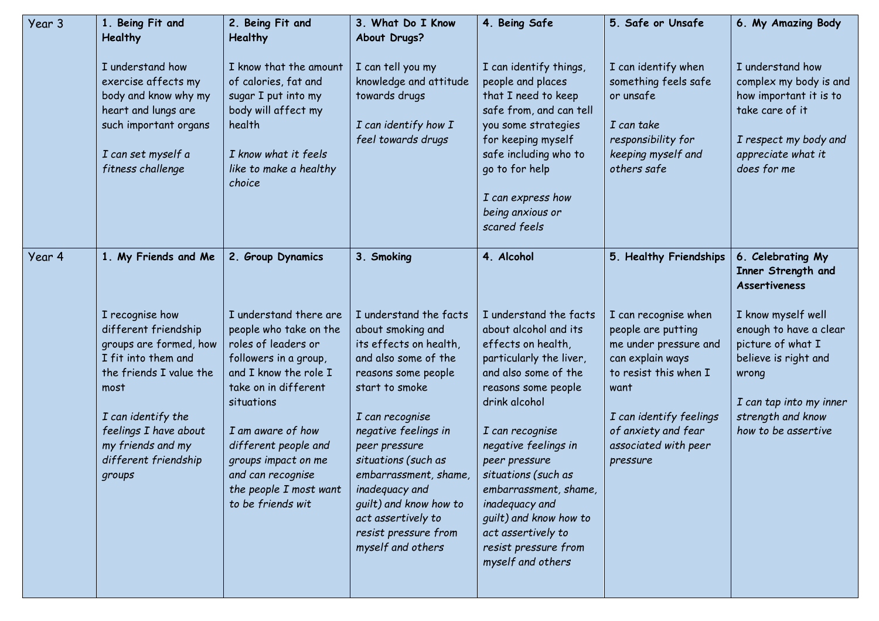| Year 3 | 1. Being Fit and<br><b>Healthy</b>                                                                                                                                                                                                | 2. Being Fit and<br><b>Healthy</b>                                                                                                                                                                                                                                                                      | 3. What Do I Know<br>About Drugs?                                                                                                                                                                                                                                                                                                                                 | 4. Being Safe                                                                                                                                                                                                                                                                                                                                                                               | 5. Safe or Unsafe                                                                                                                                                                                              | 6. My Amazing Body                                                                                                                                                        |
|--------|-----------------------------------------------------------------------------------------------------------------------------------------------------------------------------------------------------------------------------------|---------------------------------------------------------------------------------------------------------------------------------------------------------------------------------------------------------------------------------------------------------------------------------------------------------|-------------------------------------------------------------------------------------------------------------------------------------------------------------------------------------------------------------------------------------------------------------------------------------------------------------------------------------------------------------------|---------------------------------------------------------------------------------------------------------------------------------------------------------------------------------------------------------------------------------------------------------------------------------------------------------------------------------------------------------------------------------------------|----------------------------------------------------------------------------------------------------------------------------------------------------------------------------------------------------------------|---------------------------------------------------------------------------------------------------------------------------------------------------------------------------|
|        | I understand how<br>exercise affects my<br>body and know why my<br>heart and lungs are<br>such important organs<br>I can set myself a<br>fitness challenge                                                                        | I know that the amount<br>of calories, fat and<br>sugar I put into my<br>body will affect my<br>health<br>I know what it feels<br>like to make a healthy<br>choice                                                                                                                                      | I can tell you my<br>knowledge and attitude<br>towards drugs<br>I can identify how I<br>feel towards drugs                                                                                                                                                                                                                                                        | I can identify things,<br>people and places<br>that I need to keep<br>safe from, and can tell<br>you some strategies<br>for keeping myself<br>safe including who to<br>go to for help<br>I can express how<br>being anxious or<br>scared feels                                                                                                                                              | I can identify when<br>something feels safe<br>or unsafe<br>I can take<br>responsibility for<br>keeping myself and<br>others safe                                                                              | I understand how<br>complex my body is and<br>how important it is to<br>take care of it<br>I respect my body and<br>appreciate what it<br>does for me                     |
| Year 4 | 1. My Friends and Me                                                                                                                                                                                                              | 2. Group Dynamics                                                                                                                                                                                                                                                                                       | 3. Smoking                                                                                                                                                                                                                                                                                                                                                        | 4. Alcohol                                                                                                                                                                                                                                                                                                                                                                                  | 5. Healthy Friendships                                                                                                                                                                                         | 6. Celebrating My<br>Inner Strength and<br><b>Assertiveness</b>                                                                                                           |
|        | I recognise how<br>different friendship<br>groups are formed, how<br>I fit into them and<br>the friends I value the<br>most<br>I can identify the<br>feelings I have about<br>my friends and my<br>different friendship<br>groups | I understand there are<br>people who take on the<br>roles of leaders or<br>followers in a group,<br>and I know the role I<br>take on in different<br>situations<br>I am aware of how<br>different people and<br>groups impact on me<br>and can recognise<br>the people I most want<br>to be friends wit | I understand the facts<br>about smoking and<br>its effects on health,<br>and also some of the<br>reasons some people<br>start to smoke<br>I can recognise<br>negative feelings in<br>peer pressure<br>situations (such as<br>embarrassment, shame,<br>inadequacy and<br>guilt) and know how to<br>act assertively to<br>resist pressure from<br>myself and others | I understand the facts<br>about alcohol and its<br>effects on health,<br>particularly the liver,<br>and also some of the<br>reasons some people<br>drink alcohol<br>I can recognise<br>negative feelings in<br>peer pressure<br>situations (such as<br>embarrassment, shame,<br>inadequacy and<br>guilt) and know how to<br>act assertively to<br>resist pressure from<br>myself and others | I can recognise when<br>people are putting<br>me under pressure and<br>can explain ways<br>to resist this when I<br>want<br>I can identify feelings<br>of anxiety and fear<br>associated with peer<br>pressure | I know myself well<br>enough to have a clear<br>picture of what I<br>believe is right and<br>wrong<br>I can tap into my inner<br>strength and know<br>how to be assertive |